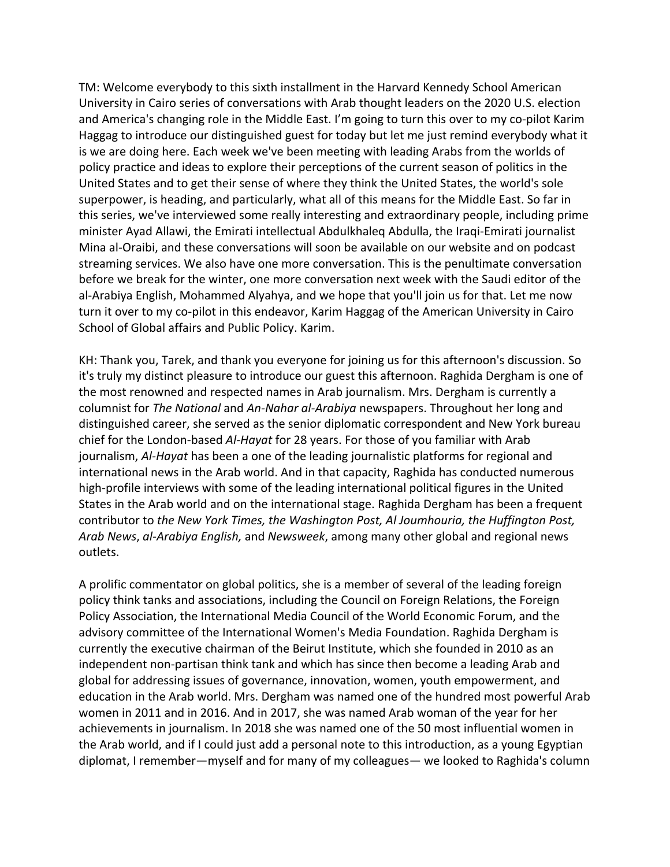TM: Welcome everybody to this sixth installment in the Harvard Kennedy School American University in Cairo series of conversations with Arab thought leaders on the 2020 U.S. election and America's changing role in the Middle East. I'm going to turn this over to my co-pilot Karim Haggag to introduce our distinguished guest for today but let me just remind everybody what it is we are doing here. Each week we've been meeting with leading Arabs from the worlds of policy practice and ideas to explore their perceptions of the current season of politics in the United States and to get their sense of where they think the United States, the world's sole superpower, is heading, and particularly, what all of this means for the Middle East. So far in this series, we've interviewed some really interesting and extraordinary people, including prime minister Ayad Allawi, the Emirati intellectual Abdulkhaleq Abdulla, the Iraqi-Emirati journalist Mina al-Oraibi, and these conversations will soon be available on our website and on podcast streaming services. We also have one more conversation. This is the penultimate conversation before we break for the winter, one more conversation next week with the Saudi editor of the al-Arabiya English, Mohammed Alyahya, and we hope that you'll join us for that. Let me now turn it over to my co-pilot in this endeavor, Karim Haggag of the American University in Cairo School of Global affairs and Public Policy. Karim.

KH: Thank you, Tarek, and thank you everyone for joining us for this afternoon's discussion. So it's truly my distinct pleasure to introduce our guest this afternoon. Raghida Dergham is one of the most renowned and respected names in Arab journalism. Mrs. Dergham is currently a columnist for *The National* and *An-Nahar al-Arabiya* newspapers. Throughout her long and distinguished career, she served as the senior diplomatic correspondent and New York bureau chief for the London-based *Al-Hayat* for 28 years. For those of you familiar with Arab journalism, *Al-Hayat* has been a one of the leading journalistic platforms for regional and international news in the Arab world. And in that capacity, Raghida has conducted numerous high-profile interviews with some of the leading international political figures in the United States in the Arab world and on the international stage. Raghida Dergham has been a frequent contributor to *the New York Times, the Washington Post, Al Joumhouria, the Huffington Post, Arab News*, *al-Arabiya English,* and *Newsweek*, among many other global and regional news outlets.

A prolific commentator on global politics, she is a member of several of the leading foreign policy think tanks and associations, including the Council on Foreign Relations, the Foreign Policy Association, the International Media Council of the World Economic Forum, and the advisory committee of the International Women's Media Foundation. Raghida Dergham is currently the executive chairman of the Beirut Institute, which she founded in 2010 as an independent non-partisan think tank and which has since then become a leading Arab and global for addressing issues of governance, innovation, women, youth empowerment, and education in the Arab world. Mrs. Dergham was named one of the hundred most powerful Arab women in 2011 and in 2016. And in 2017, she was named Arab woman of the year for her achievements in journalism. In 2018 she was named one of the 50 most influential women in the Arab world, and if I could just add a personal note to this introduction, as a young Egyptian diplomat, I remember—myself and for many of my colleagues— we looked to Raghida's column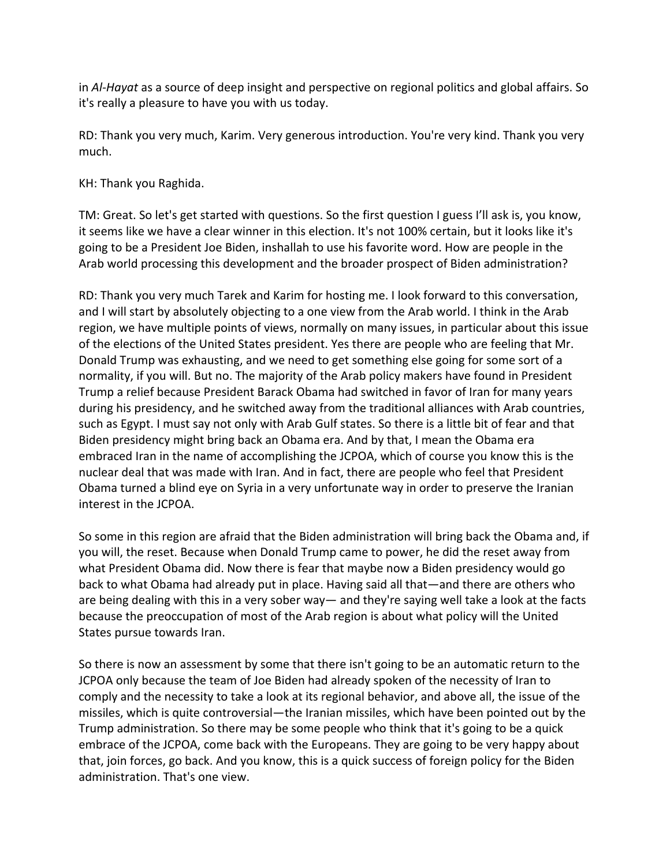in *Al-Hayat* as a source of deep insight and perspective on regional politics and global affairs. So it's really a pleasure to have you with us today.

RD: Thank you very much, Karim. Very generous introduction. You're very kind. Thank you very much.

KH: Thank you Raghida.

TM: Great. So let's get started with questions. So the first question I guess I'll ask is, you know, it seems like we have a clear winner in this election. It's not 100% certain, but it looks like it's going to be a President Joe Biden, inshallah to use his favorite word. How are people in the Arab world processing this development and the broader prospect of Biden administration?

RD: Thank you very much Tarek and Karim for hosting me. I look forward to this conversation, and I will start by absolutely objecting to a one view from the Arab world. I think in the Arab region, we have multiple points of views, normally on many issues, in particular about this issue of the elections of the United States president. Yes there are people who are feeling that Mr. Donald Trump was exhausting, and we need to get something else going for some sort of a normality, if you will. But no. The majority of the Arab policy makers have found in President Trump a relief because President Barack Obama had switched in favor of Iran for many years during his presidency, and he switched away from the traditional alliances with Arab countries, such as Egypt. I must say not only with Arab Gulf states. So there is a little bit of fear and that Biden presidency might bring back an Obama era. And by that, I mean the Obama era embraced Iran in the name of accomplishing the JCPOA, which of course you know this is the nuclear deal that was made with Iran. And in fact, there are people who feel that President Obama turned a blind eye on Syria in a very unfortunate way in order to preserve the Iranian interest in the JCPOA.

So some in this region are afraid that the Biden administration will bring back the Obama and, if you will, the reset. Because when Donald Trump came to power, he did the reset away from what President Obama did. Now there is fear that maybe now a Biden presidency would go back to what Obama had already put in place. Having said all that—and there are others who are being dealing with this in a very sober way— and they're saying well take a look at the facts because the preoccupation of most of the Arab region is about what policy will the United States pursue towards Iran.

So there is now an assessment by some that there isn't going to be an automatic return to the JCPOA only because the team of Joe Biden had already spoken of the necessity of Iran to comply and the necessity to take a look at its regional behavior, and above all, the issue of the missiles, which is quite controversial—the Iranian missiles, which have been pointed out by the Trump administration. So there may be some people who think that it's going to be a quick embrace of the JCPOA, come back with the Europeans. They are going to be very happy about that, join forces, go back. And you know, this is a quick success of foreign policy for the Biden administration. That's one view.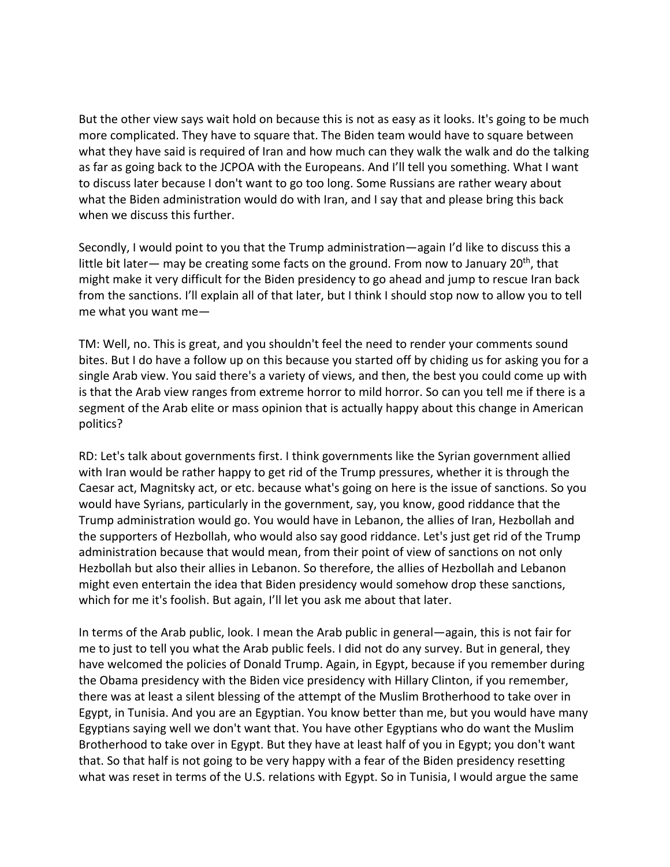But the other view says wait hold on because this is not as easy as it looks. It's going to be much more complicated. They have to square that. The Biden team would have to square between what they have said is required of Iran and how much can they walk the walk and do the talking as far as going back to the JCPOA with the Europeans. And I'll tell you something. What I want to discuss later because I don't want to go too long. Some Russians are rather weary about what the Biden administration would do with Iran, and I say that and please bring this back when we discuss this further.

Secondly, I would point to you that the Trump administration—again I'd like to discuss this a little bit later— may be creating some facts on the ground. From now to January 20<sup>th</sup>, that might make it very difficult for the Biden presidency to go ahead and jump to rescue Iran back from the sanctions. I'll explain all of that later, but I think I should stop now to allow you to tell me what you want me—

TM: Well, no. This is great, and you shouldn't feel the need to render your comments sound bites. But I do have a follow up on this because you started off by chiding us for asking you for a single Arab view. You said there's a variety of views, and then, the best you could come up with is that the Arab view ranges from extreme horror to mild horror. So can you tell me if there is a segment of the Arab elite or mass opinion that is actually happy about this change in American politics?

RD: Let's talk about governments first. I think governments like the Syrian government allied with Iran would be rather happy to get rid of the Trump pressures, whether it is through the Caesar act, Magnitsky act, or etc. because what's going on here is the issue of sanctions. So you would have Syrians, particularly in the government, say, you know, good riddance that the Trump administration would go. You would have in Lebanon, the allies of Iran, Hezbollah and the supporters of Hezbollah, who would also say good riddance. Let's just get rid of the Trump administration because that would mean, from their point of view of sanctions on not only Hezbollah but also their allies in Lebanon. So therefore, the allies of Hezbollah and Lebanon might even entertain the idea that Biden presidency would somehow drop these sanctions, which for me it's foolish. But again, I'll let you ask me about that later.

In terms of the Arab public, look. I mean the Arab public in general—again, this is not fair for me to just to tell you what the Arab public feels. I did not do any survey. But in general, they have welcomed the policies of Donald Trump. Again, in Egypt, because if you remember during the Obama presidency with the Biden vice presidency with Hillary Clinton, if you remember, there was at least a silent blessing of the attempt of the Muslim Brotherhood to take over in Egypt, in Tunisia. And you are an Egyptian. You know better than me, but you would have many Egyptians saying well we don't want that. You have other Egyptians who do want the Muslim Brotherhood to take over in Egypt. But they have at least half of you in Egypt; you don't want that. So that half is not going to be very happy with a fear of the Biden presidency resetting what was reset in terms of the U.S. relations with Egypt. So in Tunisia, I would argue the same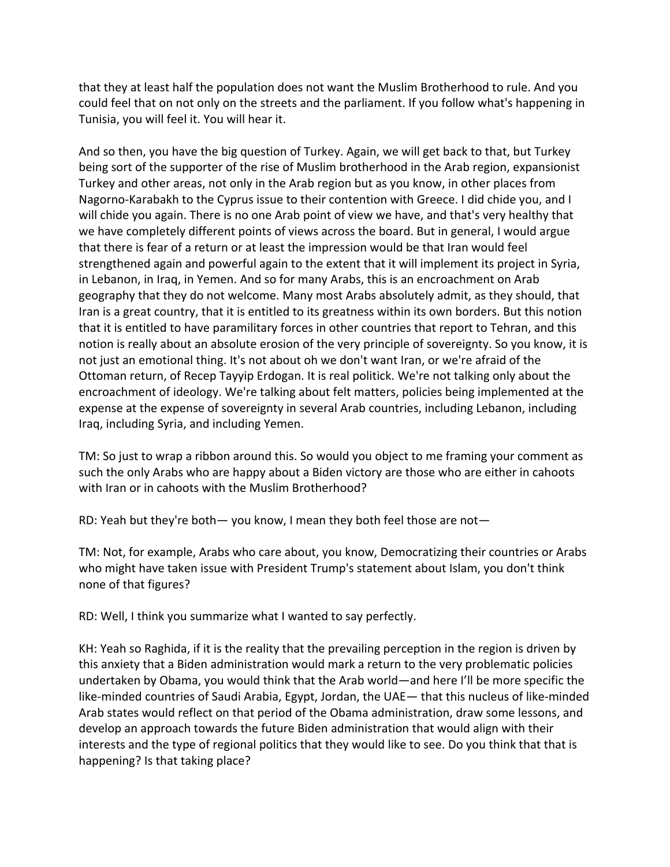that they at least half the population does not want the Muslim Brotherhood to rule. And you could feel that on not only on the streets and the parliament. If you follow what's happening in Tunisia, you will feel it. You will hear it.

And so then, you have the big question of Turkey. Again, we will get back to that, but Turkey being sort of the supporter of the rise of Muslim brotherhood in the Arab region, expansionist Turkey and other areas, not only in the Arab region but as you know, in other places from Nagorno-Karabakh to the Cyprus issue to their contention with Greece. I did chide you, and I will chide you again. There is no one Arab point of view we have, and that's very healthy that we have completely different points of views across the board. But in general, I would argue that there is fear of a return or at least the impression would be that Iran would feel strengthened again and powerful again to the extent that it will implement its project in Syria, in Lebanon, in Iraq, in Yemen. And so for many Arabs, this is an encroachment on Arab geography that they do not welcome. Many most Arabs absolutely admit, as they should, that Iran is a great country, that it is entitled to its greatness within its own borders. But this notion that it is entitled to have paramilitary forces in other countries that report to Tehran, and this notion is really about an absolute erosion of the very principle of sovereignty. So you know, it is not just an emotional thing. It's not about oh we don't want Iran, or we're afraid of the Ottoman return, of Recep Tayyip Erdogan. It is real politick. We're not talking only about the encroachment of ideology. We're talking about felt matters, policies being implemented at the expense at the expense of sovereignty in several Arab countries, including Lebanon, including Iraq, including Syria, and including Yemen.

TM: So just to wrap a ribbon around this. So would you object to me framing your comment as such the only Arabs who are happy about a Biden victory are those who are either in cahoots with Iran or in cahoots with the Muslim Brotherhood?

RD: Yeah but they're both— you know, I mean they both feel those are not—

TM: Not, for example, Arabs who care about, you know, Democratizing their countries or Arabs who might have taken issue with President Trump's statement about Islam, you don't think none of that figures?

RD: Well, I think you summarize what I wanted to say perfectly.

KH: Yeah so Raghida, if it is the reality that the prevailing perception in the region is driven by this anxiety that a Biden administration would mark a return to the very problematic policies undertaken by Obama, you would think that the Arab world—and here I'll be more specific the like-minded countries of Saudi Arabia, Egypt, Jordan, the UAE— that this nucleus of like-minded Arab states would reflect on that period of the Obama administration, draw some lessons, and develop an approach towards the future Biden administration that would align with their interests and the type of regional politics that they would like to see. Do you think that that is happening? Is that taking place?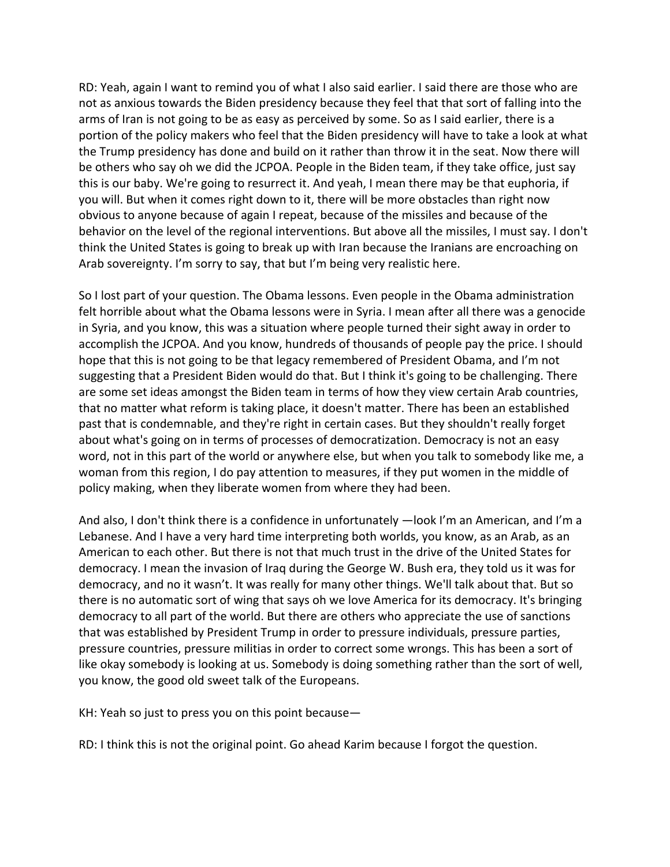RD: Yeah, again I want to remind you of what I also said earlier. I said there are those who are not as anxious towards the Biden presidency because they feel that that sort of falling into the arms of Iran is not going to be as easy as perceived by some. So as I said earlier, there is a portion of the policy makers who feel that the Biden presidency will have to take a look at what the Trump presidency has done and build on it rather than throw it in the seat. Now there will be others who say oh we did the JCPOA. People in the Biden team, if they take office, just say this is our baby. We're going to resurrect it. And yeah, I mean there may be that euphoria, if you will. But when it comes right down to it, there will be more obstacles than right now obvious to anyone because of again I repeat, because of the missiles and because of the behavior on the level of the regional interventions. But above all the missiles, I must say. I don't think the United States is going to break up with Iran because the Iranians are encroaching on Arab sovereignty. I'm sorry to say, that but I'm being very realistic here.

So I lost part of your question. The Obama lessons. Even people in the Obama administration felt horrible about what the Obama lessons were in Syria. I mean after all there was a genocide in Syria, and you know, this was a situation where people turned their sight away in order to accomplish the JCPOA. And you know, hundreds of thousands of people pay the price. I should hope that this is not going to be that legacy remembered of President Obama, and I'm not suggesting that a President Biden would do that. But I think it's going to be challenging. There are some set ideas amongst the Biden team in terms of how they view certain Arab countries, that no matter what reform is taking place, it doesn't matter. There has been an established past that is condemnable, and they're right in certain cases. But they shouldn't really forget about what's going on in terms of processes of democratization. Democracy is not an easy word, not in this part of the world or anywhere else, but when you talk to somebody like me, a woman from this region, I do pay attention to measures, if they put women in the middle of policy making, when they liberate women from where they had been.

And also, I don't think there is a confidence in unfortunately —look I'm an American, and I'm a Lebanese. And I have a very hard time interpreting both worlds, you know, as an Arab, as an American to each other. But there is not that much trust in the drive of the United States for democracy. I mean the invasion of Iraq during the George W. Bush era, they told us it was for democracy, and no it wasn't. It was really for many other things. We'll talk about that. But so there is no automatic sort of wing that says oh we love America for its democracy. It's bringing democracy to all part of the world. But there are others who appreciate the use of sanctions that was established by President Trump in order to pressure individuals, pressure parties, pressure countries, pressure militias in order to correct some wrongs. This has been a sort of like okay somebody is looking at us. Somebody is doing something rather than the sort of well, you know, the good old sweet talk of the Europeans.

KH: Yeah so just to press you on this point because—

RD: I think this is not the original point. Go ahead Karim because I forgot the question.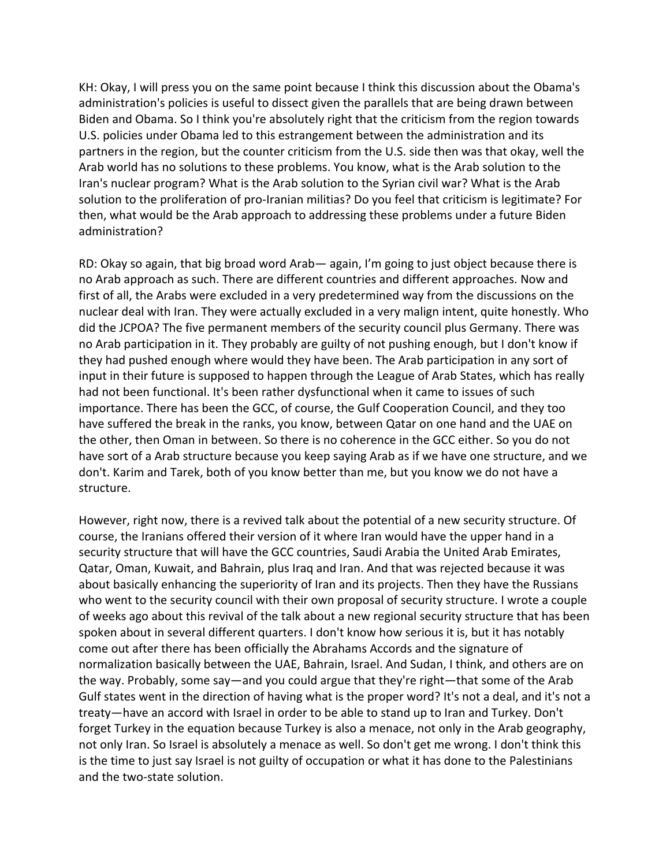KH: Okay, I will press you on the same point because I think this discussion about the Obama's administration's policies is useful to dissect given the parallels that are being drawn between Biden and Obama. So I think you're absolutely right that the criticism from the region towards U.S. policies under Obama led to this estrangement between the administration and its partners in the region, but the counter criticism from the U.S. side then was that okay, well the Arab world has no solutions to these problems. You know, what is the Arab solution to the Iran's nuclear program? What is the Arab solution to the Syrian civil war? What is the Arab solution to the proliferation of pro-Iranian militias? Do you feel that criticism is legitimate? For then, what would be the Arab approach to addressing these problems under a future Biden administration?

RD: Okay so again, that big broad word Arab— again, I'm going to just object because there is no Arab approach as such. There are different countries and different approaches. Now and first of all, the Arabs were excluded in a very predetermined way from the discussions on the nuclear deal with Iran. They were actually excluded in a very malign intent, quite honestly. Who did the JCPOA? The five permanent members of the security council plus Germany. There was no Arab participation in it. They probably are guilty of not pushing enough, but I don't know if they had pushed enough where would they have been. The Arab participation in any sort of input in their future is supposed to happen through the League of Arab States, which has really had not been functional. It's been rather dysfunctional when it came to issues of such importance. There has been the GCC, of course, the Gulf Cooperation Council, and they too have suffered the break in the ranks, you know, between Qatar on one hand and the UAE on the other, then Oman in between. So there is no coherence in the GCC either. So you do not have sort of a Arab structure because you keep saying Arab as if we have one structure, and we don't. Karim and Tarek, both of you know better than me, but you know we do not have a structure.

However, right now, there is a revived talk about the potential of a new security structure. Of course, the Iranians offered their version of it where Iran would have the upper hand in a security structure that will have the GCC countries, Saudi Arabia the United Arab Emirates, Qatar, Oman, Kuwait, and Bahrain, plus Iraq and Iran. And that was rejected because it was about basically enhancing the superiority of Iran and its projects. Then they have the Russians who went to the security council with their own proposal of security structure. I wrote a couple of weeks ago about this revival of the talk about a new regional security structure that has been spoken about in several different quarters. I don't know how serious it is, but it has notably come out after there has been officially the Abrahams Accords and the signature of normalization basically between the UAE, Bahrain, Israel. And Sudan, I think, and others are on the way. Probably, some say—and you could argue that they're right—that some of the Arab Gulf states went in the direction of having what is the proper word? It's not a deal, and it's not a treaty—have an accord with Israel in order to be able to stand up to Iran and Turkey. Don't forget Turkey in the equation because Turkey is also a menace, not only in the Arab geography, not only Iran. So Israel is absolutely a menace as well. So don't get me wrong. I don't think this is the time to just say Israel is not guilty of occupation or what it has done to the Palestinians and the two-state solution.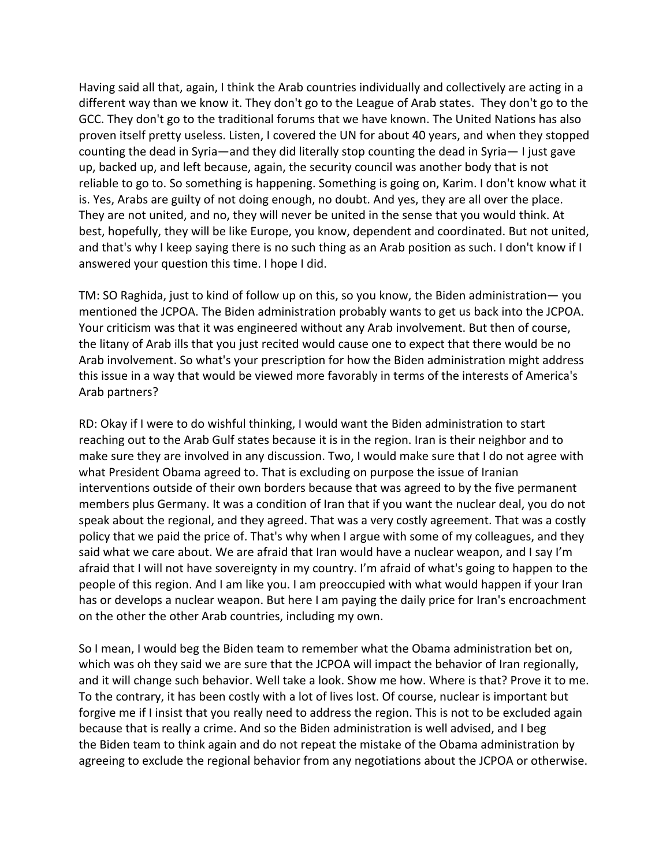Having said all that, again, I think the Arab countries individually and collectively are acting in a different way than we know it. They don't go to the League of Arab states. They don't go to the GCC. They don't go to the traditional forums that we have known. The United Nations has also proven itself pretty useless. Listen, I covered the UN for about 40 years, and when they stopped counting the dead in Syria—and they did literally stop counting the dead in Syria— I just gave up, backed up, and left because, again, the security council was another body that is not reliable to go to. So something is happening. Something is going on, Karim. I don't know what it is. Yes, Arabs are guilty of not doing enough, no doubt. And yes, they are all over the place. They are not united, and no, they will never be united in the sense that you would think. At best, hopefully, they will be like Europe, you know, dependent and coordinated. But not united, and that's why I keep saying there is no such thing as an Arab position as such. I don't know if I answered your question this time. I hope I did.

TM: SO Raghida, just to kind of follow up on this, so you know, the Biden administration— you mentioned the JCPOA. The Biden administration probably wants to get us back into the JCPOA. Your criticism was that it was engineered without any Arab involvement. But then of course, the litany of Arab ills that you just recited would cause one to expect that there would be no Arab involvement. So what's your prescription for how the Biden administration might address this issue in a way that would be viewed more favorably in terms of the interests of America's Arab partners?

RD: Okay if I were to do wishful thinking, I would want the Biden administration to start reaching out to the Arab Gulf states because it is in the region. Iran is their neighbor and to make sure they are involved in any discussion. Two, I would make sure that I do not agree with what President Obama agreed to. That is excluding on purpose the issue of Iranian interventions outside of their own borders because that was agreed to by the five permanent members plus Germany. It was a condition of Iran that if you want the nuclear deal, you do not speak about the regional, and they agreed. That was a very costly agreement. That was a costly policy that we paid the price of. That's why when I argue with some of my colleagues, and they said what we care about. We are afraid that Iran would have a nuclear weapon, and I say I'm afraid that I will not have sovereignty in my country. I'm afraid of what's going to happen to the people of this region. And I am like you. I am preoccupied with what would happen if your Iran has or develops a nuclear weapon. But here I am paying the daily price for Iran's encroachment on the other the other Arab countries, including my own.

So I mean, I would beg the Biden team to remember what the Obama administration bet on, which was oh they said we are sure that the JCPOA will impact the behavior of Iran regionally, and it will change such behavior. Well take a look. Show me how. Where is that? Prove it to me. To the contrary, it has been costly with a lot of lives lost. Of course, nuclear is important but forgive me if I insist that you really need to address the region. This is not to be excluded again because that is really a crime. And so the Biden administration is well advised, and I beg the Biden team to think again and do not repeat the mistake of the Obama administration by agreeing to exclude the regional behavior from any negotiations about the JCPOA or otherwise.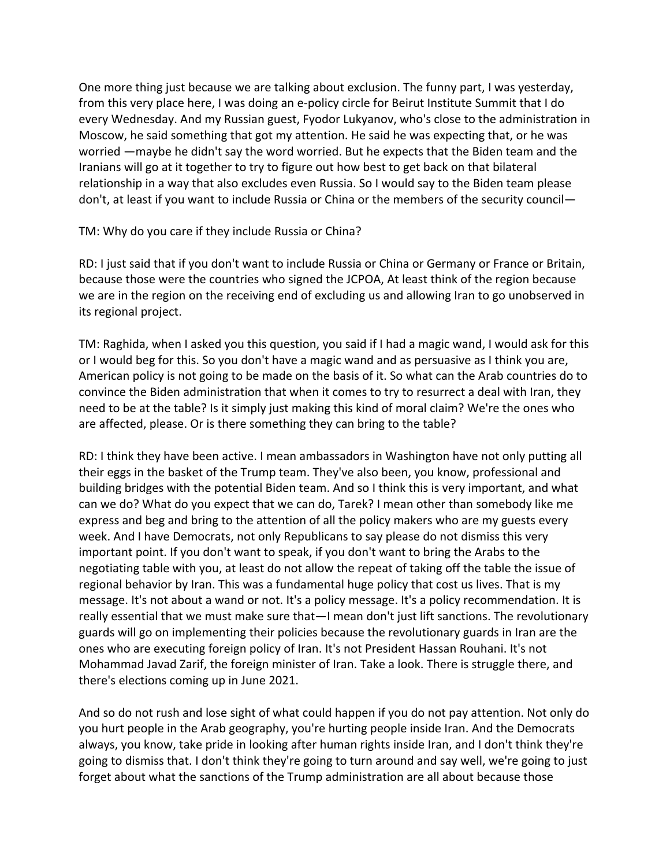One more thing just because we are talking about exclusion. The funny part, I was yesterday, from this very place here, I was doing an e-policy circle for Beirut Institute Summit that I do every Wednesday. And my Russian guest, Fyodor Lukyanov, who's close to the administration in Moscow, he said something that got my attention. He said he was expecting that, or he was worried —maybe he didn't say the word worried. But he expects that the Biden team and the Iranians will go at it together to try to figure out how best to get back on that bilateral relationship in a way that also excludes even Russia. So I would say to the Biden team please don't, at least if you want to include Russia or China or the members of the security council—

TM: Why do you care if they include Russia or China?

RD: I just said that if you don't want to include Russia or China or Germany or France or Britain, because those were the countries who signed the JCPOA, At least think of the region because we are in the region on the receiving end of excluding us and allowing Iran to go unobserved in its regional project.

TM: Raghida, when I asked you this question, you said if I had a magic wand, I would ask for this or I would beg for this. So you don't have a magic wand and as persuasive as I think you are, American policy is not going to be made on the basis of it. So what can the Arab countries do to convince the Biden administration that when it comes to try to resurrect a deal with Iran, they need to be at the table? Is it simply just making this kind of moral claim? We're the ones who are affected, please. Or is there something they can bring to the table?

RD: I think they have been active. I mean ambassadors in Washington have not only putting all their eggs in the basket of the Trump team. They've also been, you know, professional and building bridges with the potential Biden team. And so I think this is very important, and what can we do? What do you expect that we can do, Tarek? I mean other than somebody like me express and beg and bring to the attention of all the policy makers who are my guests every week. And I have Democrats, not only Republicans to say please do not dismiss this very important point. If you don't want to speak, if you don't want to bring the Arabs to the negotiating table with you, at least do not allow the repeat of taking off the table the issue of regional behavior by Iran. This was a fundamental huge policy that cost us lives. That is my message. It's not about a wand or not. It's a policy message. It's a policy recommendation. It is really essential that we must make sure that—I mean don't just lift sanctions. The revolutionary guards will go on implementing their policies because the revolutionary guards in Iran are the ones who are executing foreign policy of Iran. It's not President Hassan Rouhani. It's not Mohammad Javad Zarif, the foreign minister of Iran. Take a look. There is struggle there, and there's elections coming up in June 2021.

And so do not rush and lose sight of what could happen if you do not pay attention. Not only do you hurt people in the Arab geography, you're hurting people inside Iran. And the Democrats always, you know, take pride in looking after human rights inside Iran, and I don't think they're going to dismiss that. I don't think they're going to turn around and say well, we're going to just forget about what the sanctions of the Trump administration are all about because those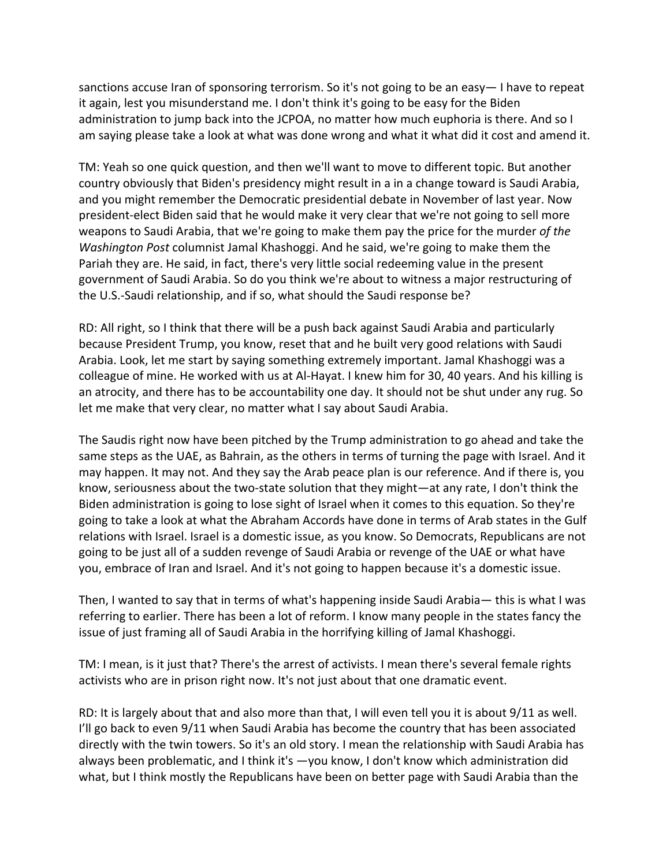sanctions accuse Iran of sponsoring terrorism. So it's not going to be an easy— I have to repeat it again, lest you misunderstand me. I don't think it's going to be easy for the Biden administration to jump back into the JCPOA, no matter how much euphoria is there. And so I am saying please take a look at what was done wrong and what it what did it cost and amend it.

TM: Yeah so one quick question, and then we'll want to move to different topic. But another country obviously that Biden's presidency might result in a in a change toward is Saudi Arabia, and you might remember the Democratic presidential debate in November of last year. Now president-elect Biden said that he would make it very clear that we're not going to sell more weapons to Saudi Arabia, that we're going to make them pay the price for the murder *of the Washington Post* columnist Jamal Khashoggi. And he said, we're going to make them the Pariah they are. He said, in fact, there's very little social redeeming value in the present government of Saudi Arabia. So do you think we're about to witness a major restructuring of the U.S.-Saudi relationship, and if so, what should the Saudi response be?

RD: All right, so I think that there will be a push back against Saudi Arabia and particularly because President Trump, you know, reset that and he built very good relations with Saudi Arabia. Look, let me start by saying something extremely important. Jamal Khashoggi was a colleague of mine. He worked with us at Al-Hayat. I knew him for 30, 40 years. And his killing is an atrocity, and there has to be accountability one day. It should not be shut under any rug. So let me make that very clear, no matter what I say about Saudi Arabia.

The Saudis right now have been pitched by the Trump administration to go ahead and take the same steps as the UAE, as Bahrain, as the others in terms of turning the page with Israel. And it may happen. It may not. And they say the Arab peace plan is our reference. And if there is, you know, seriousness about the two-state solution that they might—at any rate, I don't think the Biden administration is going to lose sight of Israel when it comes to this equation. So they're going to take a look at what the Abraham Accords have done in terms of Arab states in the Gulf relations with Israel. Israel is a domestic issue, as you know. So Democrats, Republicans are not going to be just all of a sudden revenge of Saudi Arabia or revenge of the UAE or what have you, embrace of Iran and Israel. And it's not going to happen because it's a domestic issue.

Then, I wanted to say that in terms of what's happening inside Saudi Arabia— this is what I was referring to earlier. There has been a lot of reform. I know many people in the states fancy the issue of just framing all of Saudi Arabia in the horrifying killing of Jamal Khashoggi.

TM: I mean, is it just that? There's the arrest of activists. I mean there's several female rights activists who are in prison right now. It's not just about that one dramatic event.

RD: It is largely about that and also more than that, I will even tell you it is about 9/11 as well. I'll go back to even 9/11 when Saudi Arabia has become the country that has been associated directly with the twin towers. So it's an old story. I mean the relationship with Saudi Arabia has always been problematic, and I think it's —you know, I don't know which administration did what, but I think mostly the Republicans have been on better page with Saudi Arabia than the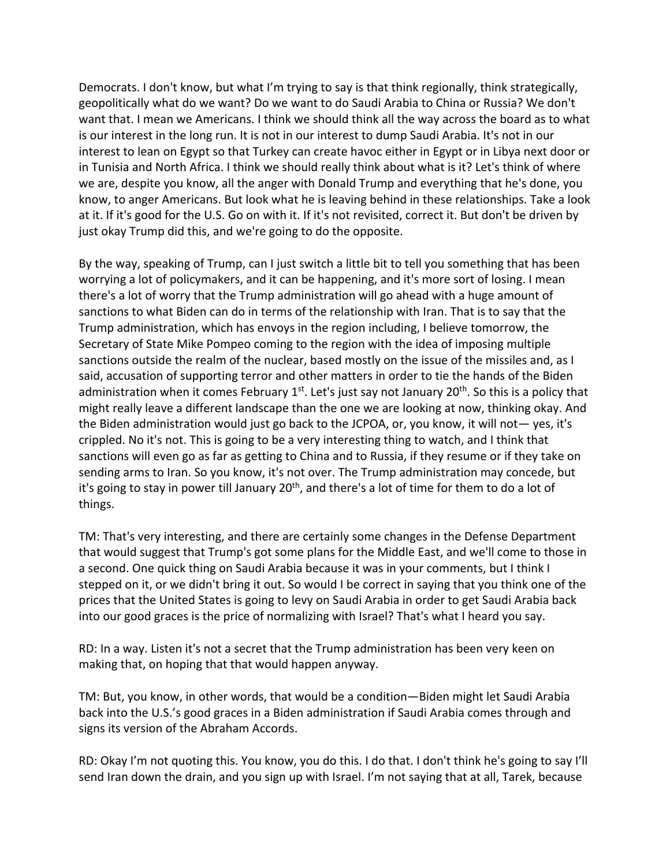Democrats. I don't know, but what I'm trying to say is that think regionally, think strategically, geopolitically what do we want? Do we want to do Saudi Arabia to China or Russia? We don't want that. I mean we Americans. I think we should think all the way across the board as to what is our interest in the long run. It is not in our interest to dump Saudi Arabia. It's not in our interest to lean on Egypt so that Turkey can create havoc either in Egypt or in Libya next door or in Tunisia and North Africa. I think we should really think about what is it? Let's think of where we are, despite you know, all the anger with Donald Trump and everything that he's done, you know, to anger Americans. But look what he is leaving behind in these relationships. Take a look at it. If it's good for the U.S. Go on with it. If it's not revisited, correct it. But don't be driven by just okay Trump did this, and we're going to do the opposite.

By the way, speaking of Trump, can I just switch a little bit to tell you something that has been worrying a lot of policymakers, and it can be happening, and it's more sort of losing. I mean there's a lot of worry that the Trump administration will go ahead with a huge amount of sanctions to what Biden can do in terms of the relationship with Iran. That is to say that the Trump administration, which has envoys in the region including, I believe tomorrow, the Secretary of State Mike Pompeo coming to the region with the idea of imposing multiple sanctions outside the realm of the nuclear, based mostly on the issue of the missiles and, as I said, accusation of supporting terror and other matters in order to tie the hands of the Biden administration when it comes February  $1<sup>st</sup>$ . Let's just say not January 20<sup>th</sup>. So this is a policy that might really leave a different landscape than the one we are looking at now, thinking okay. And the Biden administration would just go back to the JCPOA, or, you know, it will not— yes, it's crippled. No it's not. This is going to be a very interesting thing to watch, and I think that sanctions will even go as far as getting to China and to Russia, if they resume or if they take on sending arms to Iran. So you know, it's not over. The Trump administration may concede, but it's going to stay in power till January 20<sup>th</sup>, and there's a lot of time for them to do a lot of things.

TM: That's very interesting, and there are certainly some changes in the Defense Department that would suggest that Trump's got some plans for the Middle East, and we'll come to those in a second. One quick thing on Saudi Arabia because it was in your comments, but I think I stepped on it, or we didn't bring it out. So would I be correct in saying that you think one of the prices that the United States is going to levy on Saudi Arabia in order to get Saudi Arabia back into our good graces is the price of normalizing with Israel? That's what I heard you say.

RD: In a way. Listen it's not a secret that the Trump administration has been very keen on making that, on hoping that that would happen anyway.

TM: But, you know, in other words, that would be a condition—Biden might let Saudi Arabia back into the U.S.'s good graces in a Biden administration if Saudi Arabia comes through and signs its version of the Abraham Accords.

RD: Okay I'm not quoting this. You know, you do this. I do that. I don't think he's going to say I'll send Iran down the drain, and you sign up with Israel. I'm not saying that at all, Tarek, because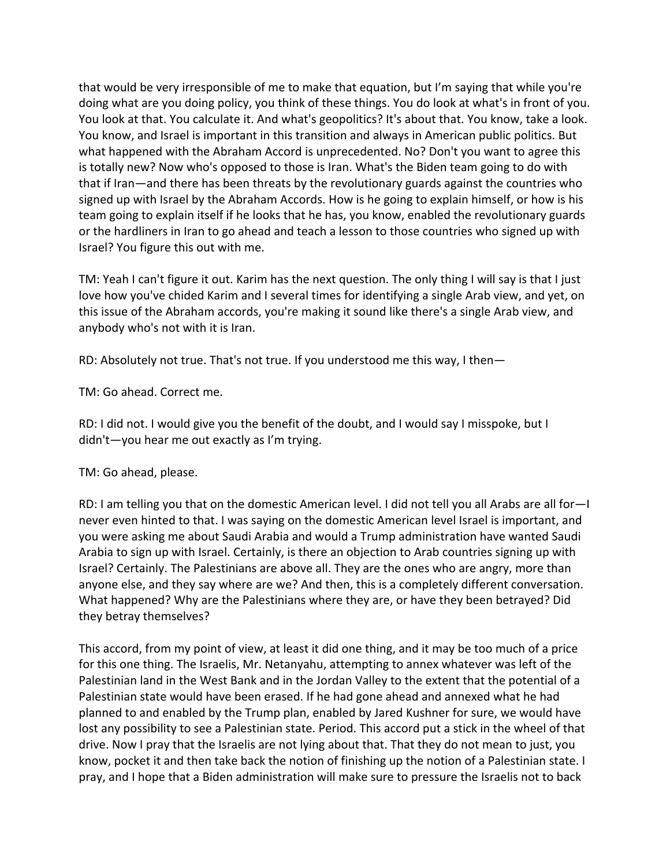that would be very irresponsible of me to make that equation, but I'm saying that while you're doing what are you doing policy, you think of these things. You do look at what's in front of you. You look at that. You calculate it. And what's geopolitics? It's about that. You know, take a look. You know, and Israel is important in this transition and always in American public politics. But what happened with the Abraham Accord is unprecedented. No? Don't you want to agree this is totally new? Now who's opposed to those is Iran. What's the Biden team going to do with that if Iran—and there has been threats by the revolutionary guards against the countries who signed up with Israel by the Abraham Accords. How is he going to explain himself, or how is his team going to explain itself if he looks that he has, you know, enabled the revolutionary guards or the hardliners in Iran to go ahead and teach a lesson to those countries who signed up with Israel? You figure this out with me.

TM: Yeah I can't figure it out. Karim has the next question. The only thing I will say is that I just love how you've chided Karim and I several times for identifying a single Arab view, and yet, on this issue of the Abraham accords, you're making it sound like there's a single Arab view, and anybody who's not with it is Iran.

RD: Absolutely not true. That's not true. If you understood me this way, I then—

TM: Go ahead. Correct me.

RD: I did not. I would give you the benefit of the doubt, and I would say I misspoke, but I didn't—you hear me out exactly as I'm trying.

TM: Go ahead, please.

RD: I am telling you that on the domestic American level. I did not tell you all Arabs are all for—I never even hinted to that. I was saying on the domestic American level Israel is important, and you were asking me about Saudi Arabia and would a Trump administration have wanted Saudi Arabia to sign up with Israel. Certainly, is there an objection to Arab countries signing up with Israel? Certainly. The Palestinians are above all. They are the ones who are angry, more than anyone else, and they say where are we? And then, this is a completely different conversation. What happened? Why are the Palestinians where they are, or have they been betrayed? Did they betray themselves?

This accord, from my point of view, at least it did one thing, and it may be too much of a price for this one thing. The Israelis, Mr. Netanyahu, attempting to annex whatever was left of the Palestinian land in the West Bank and in the Jordan Valley to the extent that the potential of a Palestinian state would have been erased. If he had gone ahead and annexed what he had planned to and enabled by the Trump plan, enabled by Jared Kushner for sure, we would have lost any possibility to see a Palestinian state. Period. This accord put a stick in the wheel of that drive. Now I pray that the Israelis are not lying about that. That they do not mean to just, you know, pocket it and then take back the notion of finishing up the notion of a Palestinian state. I pray, and I hope that a Biden administration will make sure to pressure the Israelis not to back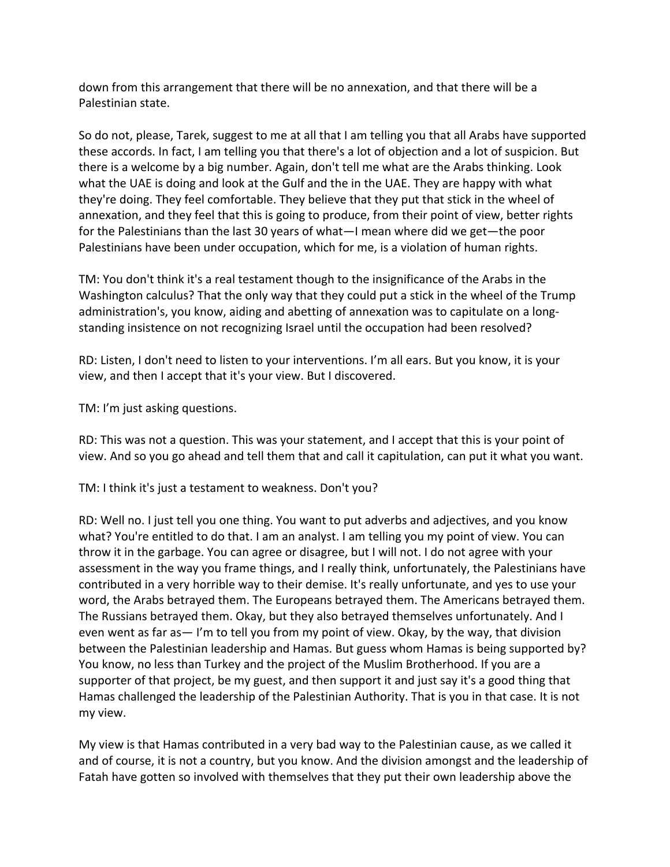down from this arrangement that there will be no annexation, and that there will be a Palestinian state.

So do not, please, Tarek, suggest to me at all that I am telling you that all Arabs have supported these accords. In fact, I am telling you that there's a lot of objection and a lot of suspicion. But there is a welcome by a big number. Again, don't tell me what are the Arabs thinking. Look what the UAE is doing and look at the Gulf and the in the UAE. They are happy with what they're doing. They feel comfortable. They believe that they put that stick in the wheel of annexation, and they feel that this is going to produce, from their point of view, better rights for the Palestinians than the last 30 years of what—I mean where did we get—the poor Palestinians have been under occupation, which for me, is a violation of human rights.

TM: You don't think it's a real testament though to the insignificance of the Arabs in the Washington calculus? That the only way that they could put a stick in the wheel of the Trump administration's, you know, aiding and abetting of annexation was to capitulate on a longstanding insistence on not recognizing Israel until the occupation had been resolved?

RD: Listen, I don't need to listen to your interventions. I'm all ears. But you know, it is your view, and then I accept that it's your view. But I discovered.

TM: I'm just asking questions.

RD: This was not a question. This was your statement, and I accept that this is your point of view. And so you go ahead and tell them that and call it capitulation, can put it what you want.

TM: I think it's just a testament to weakness. Don't you?

RD: Well no. I just tell you one thing. You want to put adverbs and adjectives, and you know what? You're entitled to do that. I am an analyst. I am telling you my point of view. You can throw it in the garbage. You can agree or disagree, but I will not. I do not agree with your assessment in the way you frame things, and I really think, unfortunately, the Palestinians have contributed in a very horrible way to their demise. It's really unfortunate, and yes to use your word, the Arabs betrayed them. The Europeans betrayed them. The Americans betrayed them. The Russians betrayed them. Okay, but they also betrayed themselves unfortunately. And I even went as far as— I'm to tell you from my point of view. Okay, by the way, that division between the Palestinian leadership and Hamas. But guess whom Hamas is being supported by? You know, no less than Turkey and the project of the Muslim Brotherhood. If you are a supporter of that project, be my guest, and then support it and just say it's a good thing that Hamas challenged the leadership of the Palestinian Authority. That is you in that case. It is not my view.

My view is that Hamas contributed in a very bad way to the Palestinian cause, as we called it and of course, it is not a country, but you know. And the division amongst and the leadership of Fatah have gotten so involved with themselves that they put their own leadership above the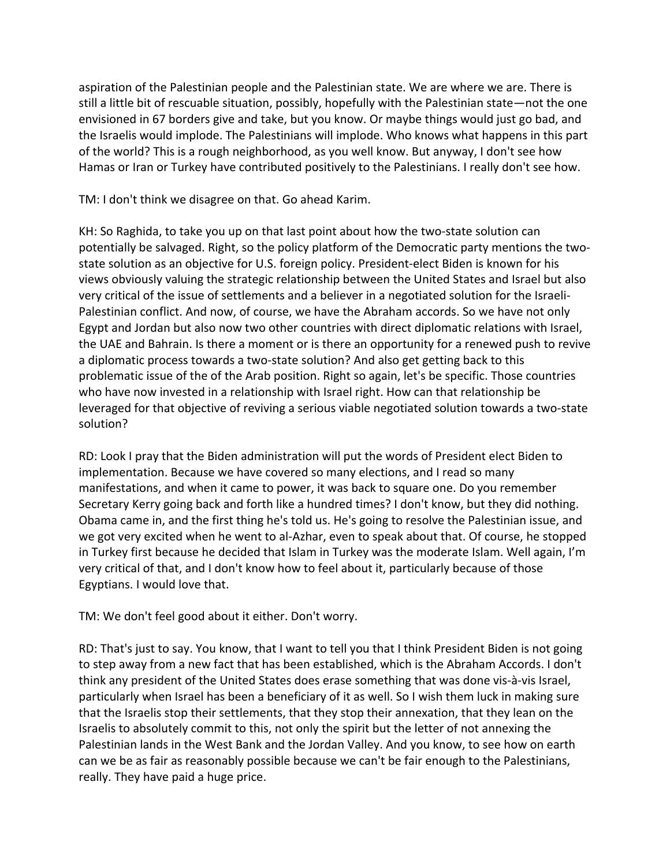aspiration of the Palestinian people and the Palestinian state. We are where we are. There is still a little bit of rescuable situation, possibly, hopefully with the Palestinian state—not the one envisioned in 67 borders give and take, but you know. Or maybe things would just go bad, and the Israelis would implode. The Palestinians will implode. Who knows what happens in this part of the world? This is a rough neighborhood, as you well know. But anyway, I don't see how Hamas or Iran or Turkey have contributed positively to the Palestinians. I really don't see how.

TM: I don't think we disagree on that. Go ahead Karim.

KH: So Raghida, to take you up on that last point about how the two-state solution can potentially be salvaged. Right, so the policy platform of the Democratic party mentions the twostate solution as an objective for U.S. foreign policy. President-elect Biden is known for his views obviously valuing the strategic relationship between the United States and Israel but also very critical of the issue of settlements and a believer in a negotiated solution for the Israeli-Palestinian conflict. And now, of course, we have the Abraham accords. So we have not only Egypt and Jordan but also now two other countries with direct diplomatic relations with Israel, the UAE and Bahrain. Is there a moment or is there an opportunity for a renewed push to revive a diplomatic process towards a two-state solution? And also get getting back to this problematic issue of the of the Arab position. Right so again, let's be specific. Those countries who have now invested in a relationship with Israel right. How can that relationship be leveraged for that objective of reviving a serious viable negotiated solution towards a two-state solution?

RD: Look I pray that the Biden administration will put the words of President elect Biden to implementation. Because we have covered so many elections, and I read so many manifestations, and when it came to power, it was back to square one. Do you remember Secretary Kerry going back and forth like a hundred times? I don't know, but they did nothing. Obama came in, and the first thing he's told us. He's going to resolve the Palestinian issue, and we got very excited when he went to al-Azhar, even to speak about that. Of course, he stopped in Turkey first because he decided that Islam in Turkey was the moderate Islam. Well again, I'm very critical of that, and I don't know how to feel about it, particularly because of those Egyptians. I would love that.

TM: We don't feel good about it either. Don't worry.

RD: That's just to say. You know, that I want to tell you that I think President Biden is not going to step away from a new fact that has been established, which is the Abraham Accords. I don't think any president of the United States does erase something that was done vis-à-vis Israel, particularly when Israel has been a beneficiary of it as well. So I wish them luck in making sure that the Israelis stop their settlements, that they stop their annexation, that they lean on the Israelis to absolutely commit to this, not only the spirit but the letter of not annexing the Palestinian lands in the West Bank and the Jordan Valley. And you know, to see how on earth can we be as fair as reasonably possible because we can't be fair enough to the Palestinians, really. They have paid a huge price.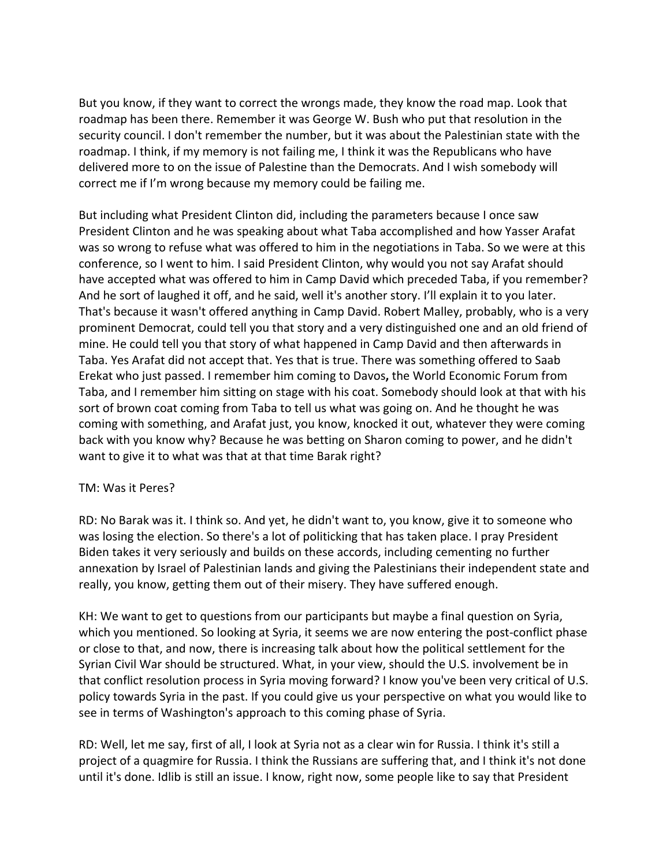But you know, if they want to correct the wrongs made, they know the road map. Look that roadmap has been there. Remember it was George W. Bush who put that resolution in the security council. I don't remember the number, but it was about the Palestinian state with the roadmap. I think, if my memory is not failing me, I think it was the Republicans who have delivered more to on the issue of Palestine than the Democrats. And I wish somebody will correct me if I'm wrong because my memory could be failing me.

But including what President Clinton did, including the parameters because I once saw President Clinton and he was speaking about what Taba accomplished and how Yasser Arafat was so wrong to refuse what was offered to him in the negotiations in Taba. So we were at this conference, so I went to him. I said President Clinton, why would you not say Arafat should have accepted what was offered to him in Camp David which preceded Taba, if you remember? And he sort of laughed it off, and he said, well it's another story. I'll explain it to you later. That's because it wasn't offered anything in Camp David. Robert Malley, probably, who is a very prominent Democrat, could tell you that story and a very distinguished one and an old friend of mine. He could tell you that story of what happened in Camp David and then afterwards in Taba. Yes Arafat did not accept that. Yes that is true. There was something offered to Saab Erekat who just passed. I remember him coming to Davos**,** the World Economic Forum from Taba, and I remember him sitting on stage with his coat. Somebody should look at that with his sort of brown coat coming from Taba to tell us what was going on. And he thought he was coming with something, and Arafat just, you know, knocked it out, whatever they were coming back with you know why? Because he was betting on Sharon coming to power, and he didn't want to give it to what was that at that time Barak right?

## TM: Was it Peres?

RD: No Barak was it. I think so. And yet, he didn't want to, you know, give it to someone who was losing the election. So there's a lot of politicking that has taken place. I pray President Biden takes it very seriously and builds on these accords, including cementing no further annexation by Israel of Palestinian lands and giving the Palestinians their independent state and really, you know, getting them out of their misery. They have suffered enough.

KH: We want to get to questions from our participants but maybe a final question on Syria, which you mentioned. So looking at Syria, it seems we are now entering the post-conflict phase or close to that, and now, there is increasing talk about how the political settlement for the Syrian Civil War should be structured. What, in your view, should the U.S. involvement be in that conflict resolution process in Syria moving forward? I know you've been very critical of U.S. policy towards Syria in the past. If you could give us your perspective on what you would like to see in terms of Washington's approach to this coming phase of Syria.

RD: Well, let me say, first of all, I look at Syria not as a clear win for Russia. I think it's still a project of a quagmire for Russia. I think the Russians are suffering that, and I think it's not done until it's done. Idlib is still an issue. I know, right now, some people like to say that President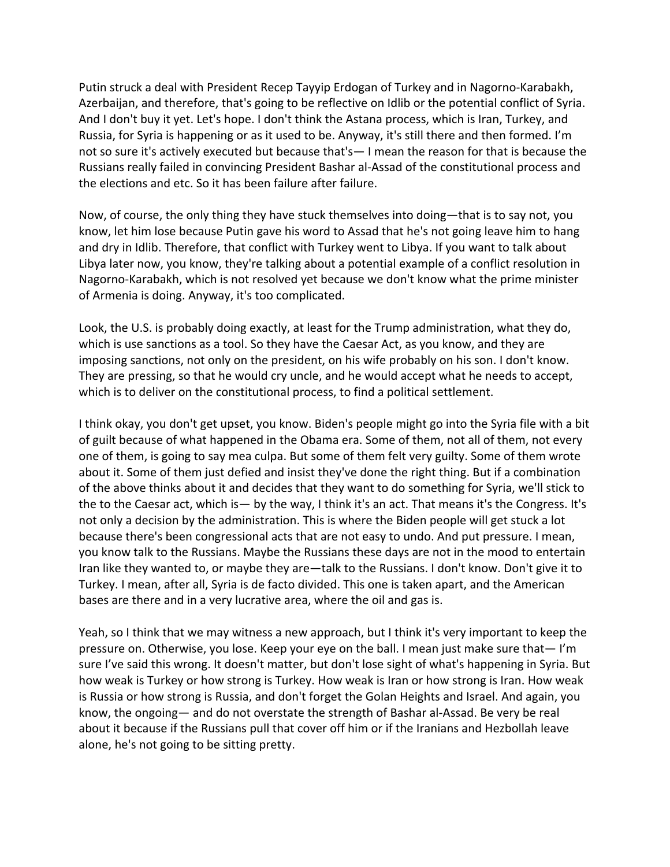Putin struck a deal with President Recep Tayyip Erdogan of Turkey and in Nagorno-Karabakh, Azerbaijan, and therefore, that's going to be reflective on Idlib or the potential conflict of Syria. And I don't buy it yet. Let's hope. I don't think the Astana process, which is Iran, Turkey, and Russia, for Syria is happening or as it used to be. Anyway, it's still there and then formed. I'm not so sure it's actively executed but because that's— I mean the reason for that is because the Russians really failed in convincing President Bashar al-Assad of the constitutional process and the elections and etc. So it has been failure after failure.

Now, of course, the only thing they have stuck themselves into doing—that is to say not, you know, let him lose because Putin gave his word to Assad that he's not going leave him to hang and dry in Idlib. Therefore, that conflict with Turkey went to Libya. If you want to talk about Libya later now, you know, they're talking about a potential example of a conflict resolution in Nagorno-Karabakh, which is not resolved yet because we don't know what the prime minister of Armenia is doing. Anyway, it's too complicated.

Look, the U.S. is probably doing exactly, at least for the Trump administration, what they do, which is use sanctions as a tool. So they have the Caesar Act, as you know, and they are imposing sanctions, not only on the president, on his wife probably on his son. I don't know. They are pressing, so that he would cry uncle, and he would accept what he needs to accept, which is to deliver on the constitutional process, to find a political settlement.

I think okay, you don't get upset, you know. Biden's people might go into the Syria file with a bit of guilt because of what happened in the Obama era. Some of them, not all of them, not every one of them, is going to say mea culpa. But some of them felt very guilty. Some of them wrote about it. Some of them just defied and insist they've done the right thing. But if a combination of the above thinks about it and decides that they want to do something for Syria, we'll stick to the to the Caesar act, which is— by the way, I think it's an act. That means it's the Congress. It's not only a decision by the administration. This is where the Biden people will get stuck a lot because there's been congressional acts that are not easy to undo. And put pressure. I mean, you know talk to the Russians. Maybe the Russians these days are not in the mood to entertain Iran like they wanted to, or maybe they are—talk to the Russians. I don't know. Don't give it to Turkey. I mean, after all, Syria is de facto divided. This one is taken apart, and the American bases are there and in a very lucrative area, where the oil and gas is.

Yeah, so I think that we may witness a new approach, but I think it's very important to keep the pressure on. Otherwise, you lose. Keep your eye on the ball. I mean just make sure that— I'm sure I've said this wrong. It doesn't matter, but don't lose sight of what's happening in Syria. But how weak is Turkey or how strong is Turkey. How weak is Iran or how strong is Iran. How weak is Russia or how strong is Russia, and don't forget the Golan Heights and Israel. And again, you know, the ongoing— and do not overstate the strength of Bashar al-Assad. Be very be real about it because if the Russians pull that cover off him or if the Iranians and Hezbollah leave alone, he's not going to be sitting pretty.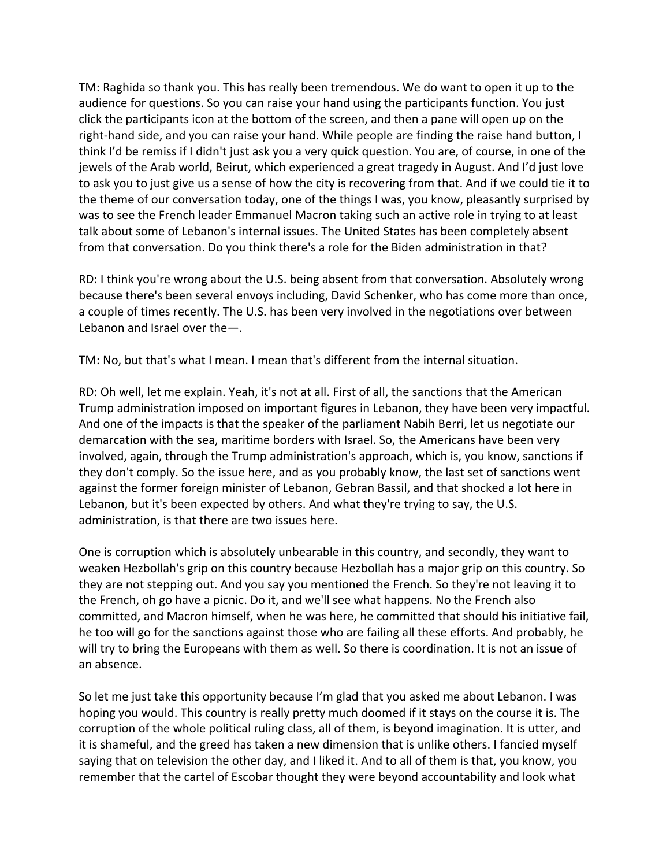TM: Raghida so thank you. This has really been tremendous. We do want to open it up to the audience for questions. So you can raise your hand using the participants function. You just click the participants icon at the bottom of the screen, and then a pane will open up on the right-hand side, and you can raise your hand. While people are finding the raise hand button, I think I'd be remiss if I didn't just ask you a very quick question. You are, of course, in one of the jewels of the Arab world, Beirut, which experienced a great tragedy in August. And I'd just love to ask you to just give us a sense of how the city is recovering from that. And if we could tie it to the theme of our conversation today, one of the things I was, you know, pleasantly surprised by was to see the French leader Emmanuel Macron taking such an active role in trying to at least talk about some of Lebanon's internal issues. The United States has been completely absent from that conversation. Do you think there's a role for the Biden administration in that?

RD: I think you're wrong about the U.S. being absent from that conversation. Absolutely wrong because there's been several envoys including, David Schenker, who has come more than once, a couple of times recently. The U.S. has been very involved in the negotiations over between Lebanon and Israel over the—.

TM: No, but that's what I mean. I mean that's different from the internal situation.

RD: Oh well, let me explain. Yeah, it's not at all. First of all, the sanctions that the American Trump administration imposed on important figures in Lebanon, they have been very impactful. And one of the impacts is that the speaker of the parliament Nabih Berri, let us negotiate our demarcation with the sea, maritime borders with Israel. So, the Americans have been very involved, again, through the Trump administration's approach, which is, you know, sanctions if they don't comply. So the issue here, and as you probably know, the last set of sanctions went against the former foreign minister of Lebanon, Gebran Bassil, and that shocked a lot here in Lebanon, but it's been expected by others. And what they're trying to say, the U.S. administration, is that there are two issues here.

One is corruption which is absolutely unbearable in this country, and secondly, they want to weaken Hezbollah's grip on this country because Hezbollah has a major grip on this country. So they are not stepping out. And you say you mentioned the French. So they're not leaving it to the French, oh go have a picnic. Do it, and we'll see what happens. No the French also committed, and Macron himself, when he was here, he committed that should his initiative fail, he too will go for the sanctions against those who are failing all these efforts. And probably, he will try to bring the Europeans with them as well. So there is coordination. It is not an issue of an absence.

So let me just take this opportunity because I'm glad that you asked me about Lebanon. I was hoping you would. This country is really pretty much doomed if it stays on the course it is. The corruption of the whole political ruling class, all of them, is beyond imagination. It is utter, and it is shameful, and the greed has taken a new dimension that is unlike others. I fancied myself saying that on television the other day, and I liked it. And to all of them is that, you know, you remember that the cartel of Escobar thought they were beyond accountability and look what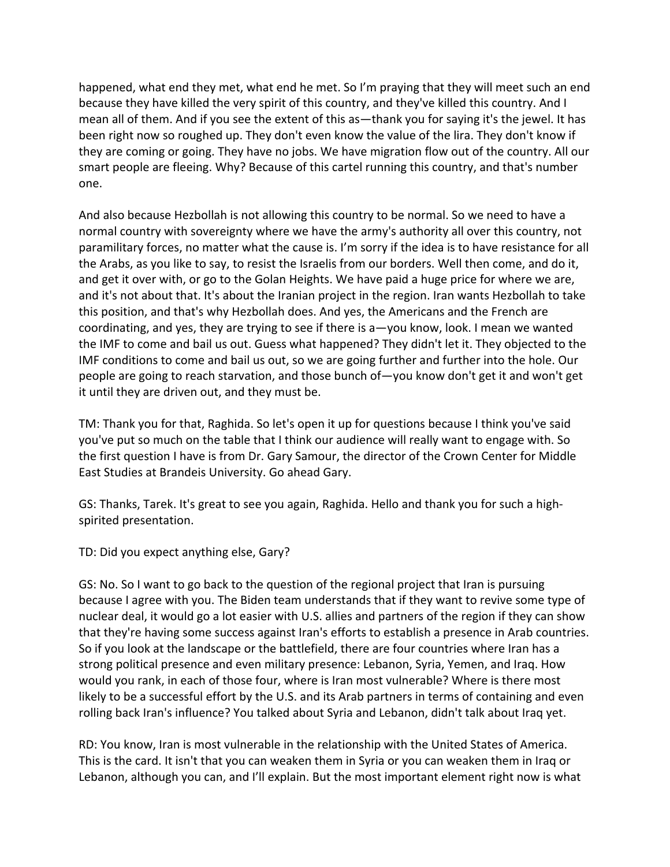happened, what end they met, what end he met. So I'm praying that they will meet such an end because they have killed the very spirit of this country, and they've killed this country. And I mean all of them. And if you see the extent of this as—thank you for saying it's the jewel. It has been right now so roughed up. They don't even know the value of the lira. They don't know if they are coming or going. They have no jobs. We have migration flow out of the country. All our smart people are fleeing. Why? Because of this cartel running this country, and that's number one.

And also because Hezbollah is not allowing this country to be normal. So we need to have a normal country with sovereignty where we have the army's authority all over this country, not paramilitary forces, no matter what the cause is. I'm sorry if the idea is to have resistance for all the Arabs, as you like to say, to resist the Israelis from our borders. Well then come, and do it, and get it over with, or go to the Golan Heights. We have paid a huge price for where we are, and it's not about that. It's about the Iranian project in the region. Iran wants Hezbollah to take this position, and that's why Hezbollah does. And yes, the Americans and the French are coordinating, and yes, they are trying to see if there is a—you know, look. I mean we wanted the IMF to come and bail us out. Guess what happened? They didn't let it. They objected to the IMF conditions to come and bail us out, so we are going further and further into the hole. Our people are going to reach starvation, and those bunch of—you know don't get it and won't get it until they are driven out, and they must be.

TM: Thank you for that, Raghida. So let's open it up for questions because I think you've said you've put so much on the table that I think our audience will really want to engage with. So the first question I have is from Dr. Gary Samour, the director of the Crown Center for Middle East Studies at Brandeis University. Go ahead Gary.

GS: Thanks, Tarek. It's great to see you again, Raghida. Hello and thank you for such a highspirited presentation.

TD: Did you expect anything else, Gary?

GS: No. So I want to go back to the question of the regional project that Iran is pursuing because I agree with you. The Biden team understands that if they want to revive some type of nuclear deal, it would go a lot easier with U.S. allies and partners of the region if they can show that they're having some success against Iran's efforts to establish a presence in Arab countries. So if you look at the landscape or the battlefield, there are four countries where Iran has a strong political presence and even military presence: Lebanon, Syria, Yemen, and Iraq. How would you rank, in each of those four, where is Iran most vulnerable? Where is there most likely to be a successful effort by the U.S. and its Arab partners in terms of containing and even rolling back Iran's influence? You talked about Syria and Lebanon, didn't talk about Iraq yet.

RD: You know, Iran is most vulnerable in the relationship with the United States of America. This is the card. It isn't that you can weaken them in Syria or you can weaken them in Iraq or Lebanon, although you can, and I'll explain. But the most important element right now is what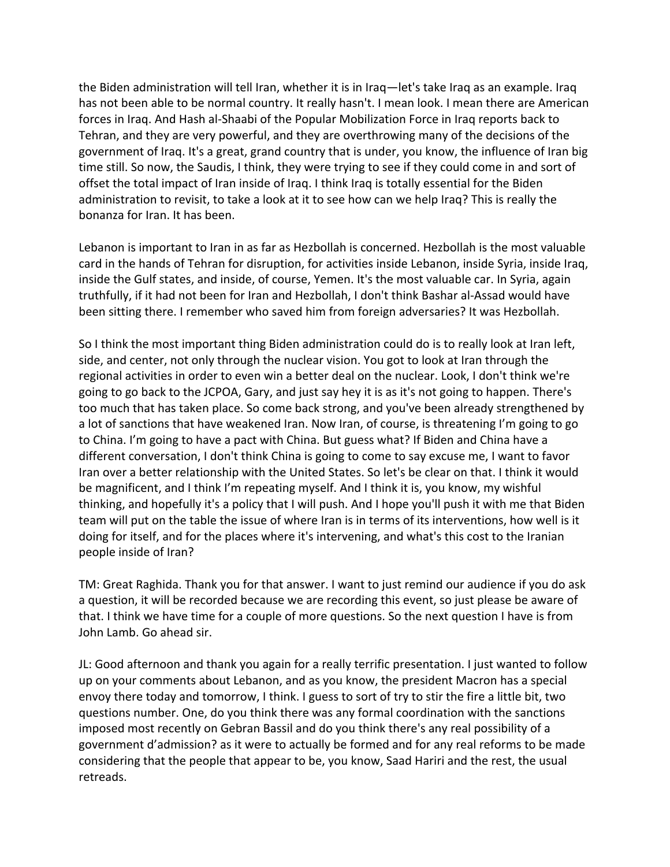the Biden administration will tell Iran, whether it is in Iraq—let's take Iraq as an example. Iraq has not been able to be normal country. It really hasn't. I mean look. I mean there are American forces in Iraq. And Hash al-Shaabi of the Popular Mobilization Force in Iraq reports back to Tehran, and they are very powerful, and they are overthrowing many of the decisions of the government of Iraq. It's a great, grand country that is under, you know, the influence of Iran big time still. So now, the Saudis, I think, they were trying to see if they could come in and sort of offset the total impact of Iran inside of Iraq. I think Iraq is totally essential for the Biden administration to revisit, to take a look at it to see how can we help Iraq? This is really the bonanza for Iran. It has been.

Lebanon is important to Iran in as far as Hezbollah is concerned. Hezbollah is the most valuable card in the hands of Tehran for disruption, for activities inside Lebanon, inside Syria, inside Iraq, inside the Gulf states, and inside, of course, Yemen. It's the most valuable car. In Syria, again truthfully, if it had not been for Iran and Hezbollah, I don't think Bashar al-Assad would have been sitting there. I remember who saved him from foreign adversaries? It was Hezbollah.

So I think the most important thing Biden administration could do is to really look at Iran left, side, and center, not only through the nuclear vision. You got to look at Iran through the regional activities in order to even win a better deal on the nuclear. Look, I don't think we're going to go back to the JCPOA, Gary, and just say hey it is as it's not going to happen. There's too much that has taken place. So come back strong, and you've been already strengthened by a lot of sanctions that have weakened Iran. Now Iran, of course, is threatening I'm going to go to China. I'm going to have a pact with China. But guess what? If Biden and China have a different conversation, I don't think China is going to come to say excuse me, I want to favor Iran over a better relationship with the United States. So let's be clear on that. I think it would be magnificent, and I think I'm repeating myself. And I think it is, you know, my wishful thinking, and hopefully it's a policy that I will push. And I hope you'll push it with me that Biden team will put on the table the issue of where Iran is in terms of its interventions, how well is it doing for itself, and for the places where it's intervening, and what's this cost to the Iranian people inside of Iran?

TM: Great Raghida. Thank you for that answer. I want to just remind our audience if you do ask a question, it will be recorded because we are recording this event, so just please be aware of that. I think we have time for a couple of more questions. So the next question I have is from John Lamb. Go ahead sir.

JL: Good afternoon and thank you again for a really terrific presentation. I just wanted to follow up on your comments about Lebanon, and as you know, the president Macron has a special envoy there today and tomorrow, I think. I guess to sort of try to stir the fire a little bit, two questions number. One, do you think there was any formal coordination with the sanctions imposed most recently on Gebran Bassil and do you think there's any real possibility of a government d'admission? as it were to actually be formed and for any real reforms to be made considering that the people that appear to be, you know, Saad Hariri and the rest, the usual retreads.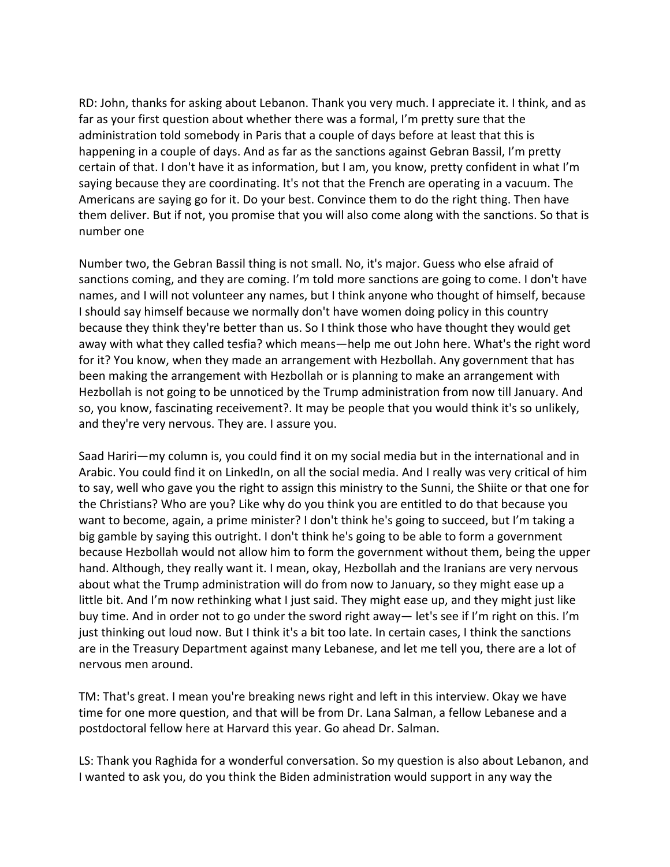RD: John, thanks for asking about Lebanon. Thank you very much. I appreciate it. I think, and as far as your first question about whether there was a formal, I'm pretty sure that the administration told somebody in Paris that a couple of days before at least that this is happening in a couple of days. And as far as the sanctions against Gebran Bassil, I'm pretty certain of that. I don't have it as information, but I am, you know, pretty confident in what I'm saying because they are coordinating. It's not that the French are operating in a vacuum. The Americans are saying go for it. Do your best. Convince them to do the right thing. Then have them deliver. But if not, you promise that you will also come along with the sanctions. So that is number one

Number two, the Gebran Bassil thing is not small. No, it's major. Guess who else afraid of sanctions coming, and they are coming. I'm told more sanctions are going to come. I don't have names, and I will not volunteer any names, but I think anyone who thought of himself, because I should say himself because we normally don't have women doing policy in this country because they think they're better than us. So I think those who have thought they would get away with what they called tesfia? which means—help me out John here. What's the right word for it? You know, when they made an arrangement with Hezbollah. Any government that has been making the arrangement with Hezbollah or is planning to make an arrangement with Hezbollah is not going to be unnoticed by the Trump administration from now till January. And so, you know, fascinating receivement?. It may be people that you would think it's so unlikely, and they're very nervous. They are. I assure you.

Saad Hariri—my column is, you could find it on my social media but in the international and in Arabic. You could find it on LinkedIn, on all the social media. And I really was very critical of him to say, well who gave you the right to assign this ministry to the Sunni, the Shiite or that one for the Christians? Who are you? Like why do you think you are entitled to do that because you want to become, again, a prime minister? I don't think he's going to succeed, but I'm taking a big gamble by saying this outright. I don't think he's going to be able to form a government because Hezbollah would not allow him to form the government without them, being the upper hand. Although, they really want it. I mean, okay, Hezbollah and the Iranians are very nervous about what the Trump administration will do from now to January, so they might ease up a little bit. And I'm now rethinking what I just said. They might ease up, and they might just like buy time. And in order not to go under the sword right away— let's see if I'm right on this. I'm just thinking out loud now. But I think it's a bit too late. In certain cases, I think the sanctions are in the Treasury Department against many Lebanese, and let me tell you, there are a lot of nervous men around.

TM: That's great. I mean you're breaking news right and left in this interview. Okay we have time for one more question, and that will be from Dr. Lana Salman, a fellow Lebanese and a postdoctoral fellow here at Harvard this year. Go ahead Dr. Salman.

LS: Thank you Raghida for a wonderful conversation. So my question is also about Lebanon, and I wanted to ask you, do you think the Biden administration would support in any way the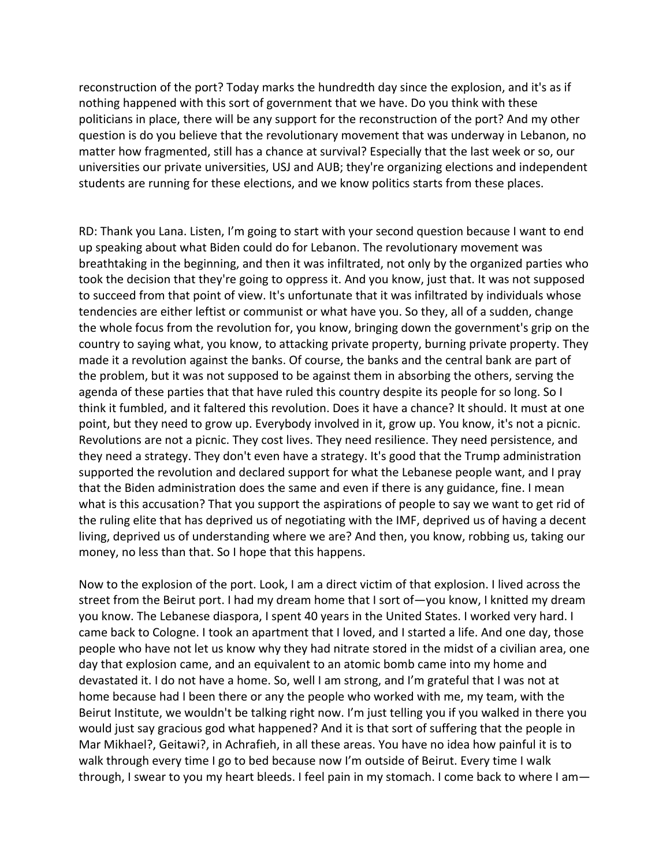reconstruction of the port? Today marks the hundredth day since the explosion, and it's as if nothing happened with this sort of government that we have. Do you think with these politicians in place, there will be any support for the reconstruction of the port? And my other question is do you believe that the revolutionary movement that was underway in Lebanon, no matter how fragmented, still has a chance at survival? Especially that the last week or so, our universities our private universities, USJ and AUB; they're organizing elections and independent students are running for these elections, and we know politics starts from these places.

RD: Thank you Lana. Listen, I'm going to start with your second question because I want to end up speaking about what Biden could do for Lebanon. The revolutionary movement was breathtaking in the beginning, and then it was infiltrated, not only by the organized parties who took the decision that they're going to oppress it. And you know, just that. It was not supposed to succeed from that point of view. It's unfortunate that it was infiltrated by individuals whose tendencies are either leftist or communist or what have you. So they, all of a sudden, change the whole focus from the revolution for, you know, bringing down the government's grip on the country to saying what, you know, to attacking private property, burning private property. They made it a revolution against the banks. Of course, the banks and the central bank are part of the problem, but it was not supposed to be against them in absorbing the others, serving the agenda of these parties that that have ruled this country despite its people for so long. So I think it fumbled, and it faltered this revolution. Does it have a chance? It should. It must at one point, but they need to grow up. Everybody involved in it, grow up. You know, it's not a picnic. Revolutions are not a picnic. They cost lives. They need resilience. They need persistence, and they need a strategy. They don't even have a strategy. It's good that the Trump administration supported the revolution and declared support for what the Lebanese people want, and I pray that the Biden administration does the same and even if there is any guidance, fine. I mean what is this accusation? That you support the aspirations of people to say we want to get rid of the ruling elite that has deprived us of negotiating with the IMF, deprived us of having a decent living, deprived us of understanding where we are? And then, you know, robbing us, taking our money, no less than that. So I hope that this happens.

Now to the explosion of the port. Look, I am a direct victim of that explosion. I lived across the street from the Beirut port. I had my dream home that I sort of—you know, I knitted my dream you know. The Lebanese diaspora, I spent 40 years in the United States. I worked very hard. I came back to Cologne. I took an apartment that I loved, and I started a life. And one day, those people who have not let us know why they had nitrate stored in the midst of a civilian area, one day that explosion came, and an equivalent to an atomic bomb came into my home and devastated it. I do not have a home. So, well I am strong, and I'm grateful that I was not at home because had I been there or any the people who worked with me, my team, with the Beirut Institute, we wouldn't be talking right now. I'm just telling you if you walked in there you would just say gracious god what happened? And it is that sort of suffering that the people in Mar Mikhael?, Geitawi?, in Achrafieh, in all these areas. You have no idea how painful it is to walk through every time I go to bed because now I'm outside of Beirut. Every time I walk through, I swear to you my heart bleeds. I feel pain in my stomach. I come back to where I am